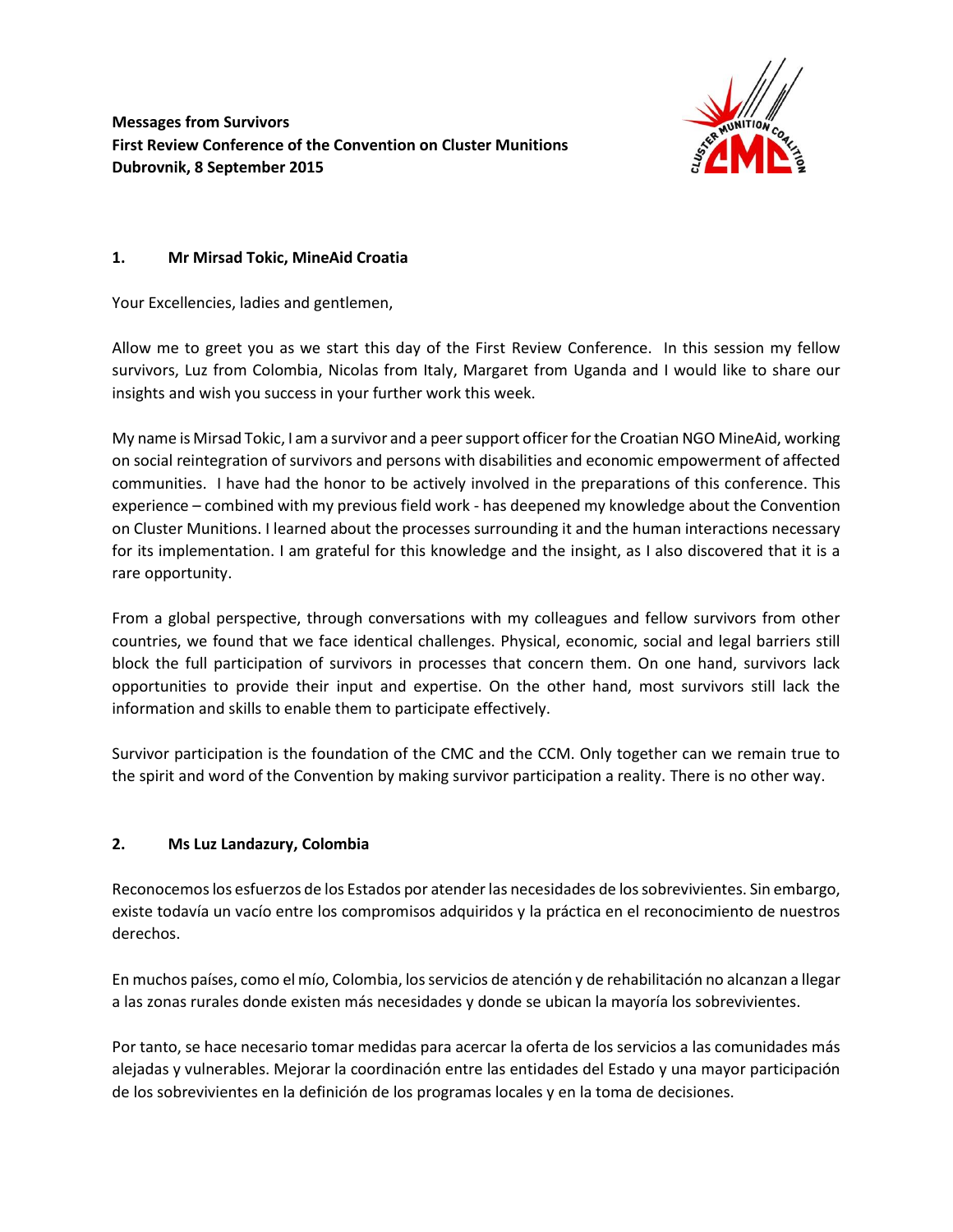**Messages from Survivors First Review Conference of the Convention on Cluster Munitions Dubrovnik, 8 September 2015**



## **1. Mr Mirsad Tokic, MineAid Croatia**

Your Excellencies, ladies and gentlemen,

Allow me to greet you as we start this day of the First Review Conference. In this session my fellow survivors, Luz from Colombia, Nicolas from Italy, Margaret from Uganda and I would like to share our insights and wish you success in your further work this week.

My name is Mirsad Tokic, I am a survivor and a peer support officer for the Croatian NGO MineAid, working on social reintegration of survivors and persons with disabilities and economic empowerment of affected communities. I have had the honor to be actively involved in the preparations of this conference. This experience – combined with my previous field work - has deepened my knowledge about the Convention on Cluster Munitions. I learned about the processes surrounding it and the human interactions necessary for its implementation. I am grateful for this knowledge and the insight, as I also discovered that it is a rare opportunity.

From a global perspective, through conversations with my colleagues and fellow survivors from other countries, we found that we face identical challenges. Physical, economic, social and legal barriers still block the full participation of survivors in processes that concern them. On one hand, survivors lack opportunities to provide their input and expertise. On the other hand, most survivors still lack the information and skills to enable them to participate effectively.

Survivor participation is the foundation of the CMC and the CCM. Only together can we remain true to the spirit and word of the Convention by making survivor participation a reality. There is no other way.

## **2. Ms Luz Landazury, Colombia**

Reconocemos los esfuerzos de los Estados por atender las necesidades de los sobrevivientes. Sin embargo, existe todavía un vacío entre los compromisos adquiridos y la práctica en el reconocimiento de nuestros derechos.

En muchos países, como el mío, Colombia, los servicios de atención y de rehabilitación no alcanzan a llegar a las zonas rurales donde existen más necesidades y donde se ubican la mayoría los sobrevivientes.

Por tanto, se hace necesario tomar medidas para acercar la oferta de los servicios a las comunidades más alejadas y vulnerables. Mejorar la coordinación entre las entidades del Estado y una mayor participación de los sobrevivientes en la definición de los programas locales y en la toma de decisiones.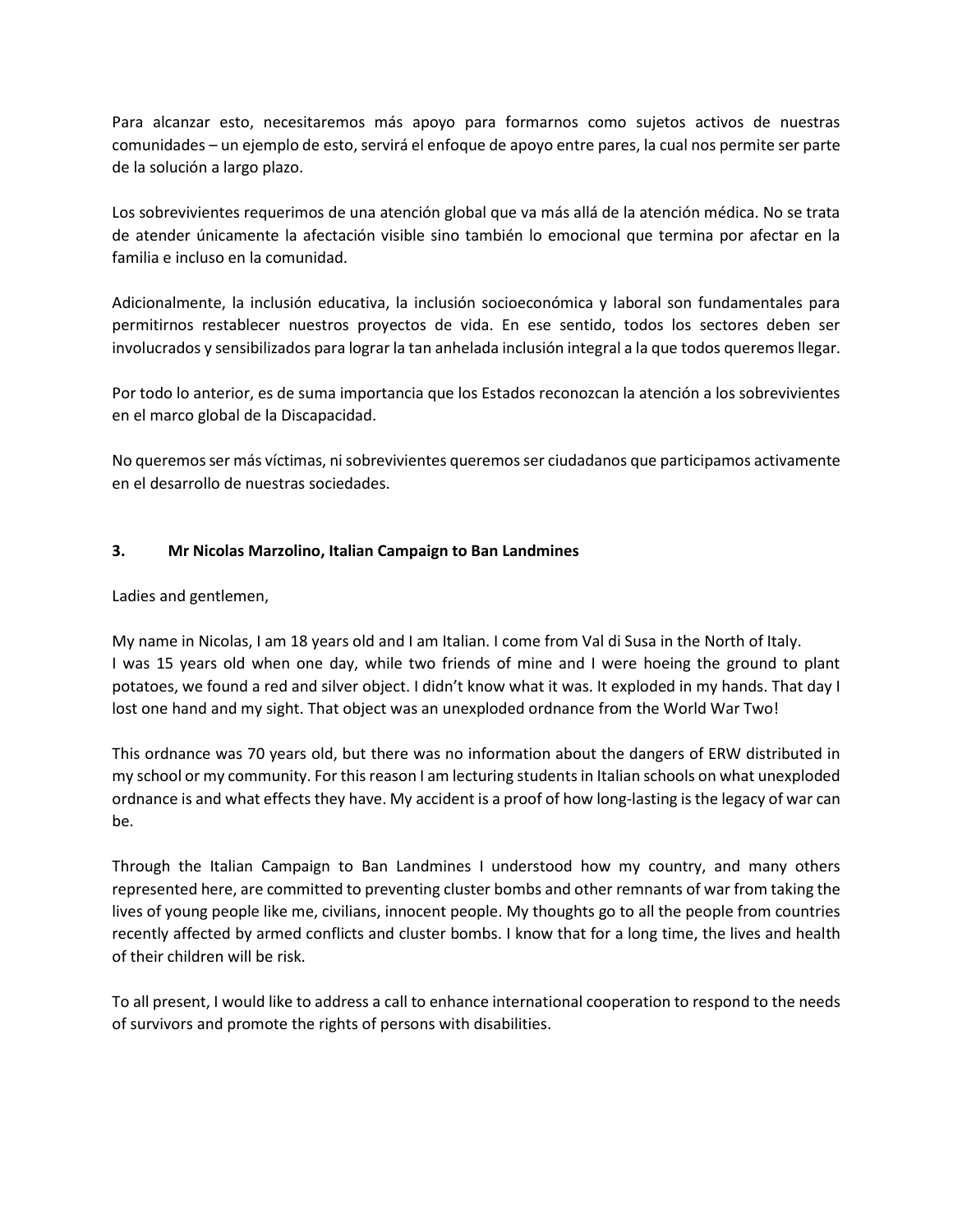Para alcanzar esto, necesitaremos más apoyo para formarnos como sujetos activos de nuestras comunidades – un ejemplo de esto, servirá el enfoque de apoyo entre pares, la cual nos permite ser parte de la solución a largo plazo.

Los sobrevivientes requerimos de una atención global que va más allá de la atención médica. No se trata de atender únicamente la afectación visible sino también lo emocional que termina por afectar en la familia e incluso en la comunidad.

Adicionalmente, la inclusión educativa, la inclusión socioeconómica y laboral son fundamentales para permitirnos restablecer nuestros proyectos de vida. En ese sentido, todos los sectores deben ser involucrados y sensibilizados para lograr la tan anhelada inclusión integral a la que todos queremos llegar.

Por todo lo anterior, es de suma importancia que los Estados reconozcan la atención a los sobrevivientes en el marco global de la Discapacidad.

No queremos ser más víctimas, ni sobrevivientes queremos ser ciudadanos que participamos activamente en el desarrollo de nuestras sociedades.

## **3. Mr Nicolas Marzolino, Italian Campaign to Ban Landmines**

Ladies and gentlemen,

My name in Nicolas, I am 18 years old and I am Italian. I come from Val di Susa in the North of Italy. I was 15 years old when one day, while two friends of mine and I were hoeing the ground to plant potatoes, we found a red and silver object. I didn't know what it was. It exploded in my hands. That day I lost one hand and my sight. That object was an unexploded ordnance from the World War Two!

This ordnance was 70 years old, but there was no information about the dangers of ERW distributed in my school or my community. For this reason I am lecturing students in Italian schools on what unexploded ordnance is and what effects they have. My accident is a proof of how long-lasting is the legacy of war can be.

Through the Italian Campaign to Ban Landmines I understood how my country, and many others represented here, are committed to preventing cluster bombs and other remnants of war from taking the lives of young people like me, civilians, innocent people. My thoughts go to all the people from countries recently affected by armed conflicts and cluster bombs. I know that for a long time, the lives and health of their children will be risk.

To all present, I would like to address a call to enhance international cooperation to respond to the needs of survivors and promote the rights of persons with disabilities.